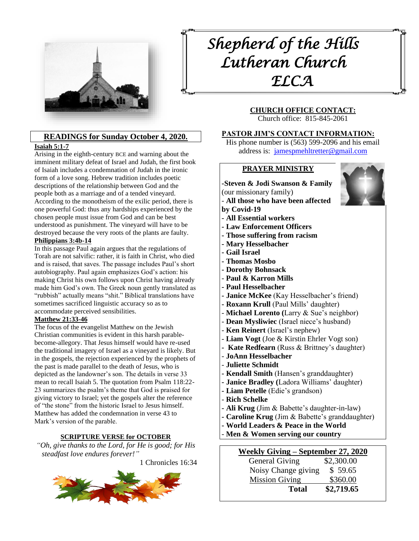

# **READINGS for Sunday October 4, 2020.**

#### **[Isaiah 5:1-7](https://members.sundaysandseasons.com/Home/TextsAndResources/2020-10-4/2126)**

Arising in the eighth-century BCE and warning about the imminent military defeat of Israel and Judah, the first book of Isaiah includes a condemnation of Judah in the ironic form of a love song. Hebrew tradition includes poetic descriptions of the relationship between God and the people both as a marriage and of a tended vineyard. According to the monotheism of the exilic period, there is one powerful God: thus any hardships experienced by the chosen people must issue from God and can be best understood as punishment. The vineyard will have to be destroyed because the very roots of the plants are faulty. **[Philippians 3:4b-14](https://members.sundaysandseasons.com/Home/TextsAndResources/2020-10-4/2126)**

In this passage Paul again argues that the regulations of Torah are not salvific: rather, it is faith in Christ, who died and is raised, that saves. The passage includes Paul's short autobiography. Paul again emphasizes God's action: his making Christ his own follows upon Christ having already made him God's own. The Greek noun gently translated as "rubbish" actually means "shit." Biblical translations have sometimes sacrificed linguistic accuracy so as to accommodate perceived sensibilities.

#### **[Matthew 21:33-46](https://members.sundaysandseasons.com/Home/TextsAndResources/2020-10-4/2126)**

The focus of the evangelist Matthew on the Jewish Christian communities is evident in this harsh parablebecome-allegory. That Jesus himself would have re-used the traditional imagery of Israel as a vineyard is likely. But in the gospels, the rejection experienced by the prophets of the past is made parallel to the death of Jesus, who is depicted as the landowner's son. The details in verse 33 mean to recall Isaiah 5. The quotation from Psalm 118:22- 23 summarizes the psalm's theme that God is praised for giving victory to Israel; yet the gospels alter the reference of "the stone" from the historic Israel to Jesus himself. Matthew has added the condemnation in verse 43 to Mark's version of the parable.

#### **SCRIPTURE VERSE for OCTOBER**

*"Oh, give thanks to the Lord, for He is good; for His steadfast love endures forever!"*

1 Chronicles 16:34



# *Shepherd of the Hills Lutheran Church ELCA*

# **CHURCH OFFICE CONTACT:**

Church office: 815-845-2061

#### **PASTOR JIM'S CONTACT INFORMATION:**

His phone number is (563) 599-2096 and his email address is: [jamespmehltretter@gmail.com](mailto:jamespmehltretter@gmail.com)

#### **PRAYER MINISTRY**

# **-Steven & Jodi Swanson & Family**

(our missionary family)

- **All those who have been affected by Covid-19**
- **- All Essential workers**
- **- Law Enforcement Officers**
- **- Those suffering from racism**
- **- Mary Hesselbacher**
- **- Gail Israel**
- **- Thomas Mosbo**
- **- Dorothy Bohnsack**
- **Paul & Karron Mills**
- **- Paul Hesselbacher**
- **- Janice McKee** (Kay Hesselbacher's friend)
- **- Roxann Krull** (Paul Mills' daughter)
- **Michael Lorento (**Larry & Sue's neighbor)
- **Dean Mysliwiec** (Israel niece's husband)
- **Ken Reinert** (Israel's nephew)
- **Liam Vogt** (Joe & Kirstin Ehrler Vogt son)
- **Kate Redfearn** (Russ & Brittney's daughter)
- **JoAnn Hesselbacher**
- **Juliette Schmidt**
- **- Kendall Smith** (Hansen's granddaughter)
- **- Janice Bradley (**Ladora Williams' daughter)
- **- Liam Petelle** (Edie's grandson)
- **Rich Schelke**
- **- Ali Krug** (Jim & Babette's daughter-in-law)
- **- Caroline Krug** (Jim & Babette's granddaughter)
- **- World Leaders & Peace in the World**
- **Men & Women serving our country**

| Weekly Giving – September 27, 2020 |            |
|------------------------------------|------------|
| General Giving                     | \$2,300.00 |
| Noisy Change giving                | \$59.65    |
| <b>Mission Giving</b>              | \$360.00   |
| <b>Total</b>                       | \$2,719.65 |

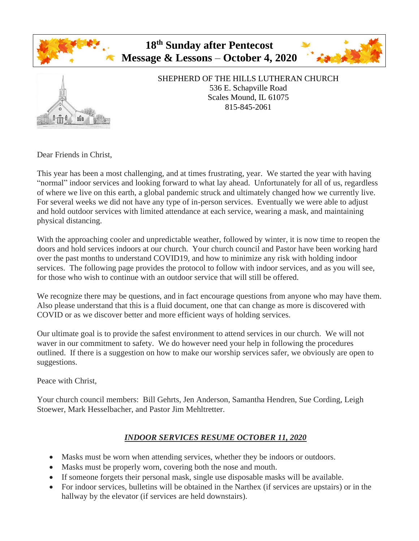



# SHEPHERD OF THE HILLS LUTHERAN CHURCH 536 E. Schapville Road Scales Mound, IL 61075 815-845-2061

Dear Friends in Christ,

This year has been a most challenging, and at times frustrating, year. We started the year with having "normal" indoor services and looking forward to what lay ahead. Unfortunately for all of us, regardless of where we live on this earth, a global pandemic struck and ultimately changed how we currently live. For several weeks we did not have any type of in-person services. Eventually we were able to adjust and hold outdoor services with limited attendance at each service, wearing a mask, and maintaining physical distancing.

With the approaching cooler and unpredictable weather, followed by winter, it is now time to reopen the doors and hold services indoors at our church. Your church council and Pastor have been working hard over the past months to understand COVID19, and how to minimize any risk with holding indoor services. The following page provides the protocol to follow with indoor services, and as you will see, for those who wish to continue with an outdoor service that will still be offered.

We recognize there may be questions, and in fact encourage questions from anyone who may have them. Also please understand that this is a fluid document, one that can change as more is discovered with COVID or as we discover better and more efficient ways of holding services.

Our ultimate goal is to provide the safest environment to attend services in our church. We will not waver in our commitment to safety. We do however need your help in following the procedures outlined. If there is a suggestion on how to make our worship services safer, we obviously are open to suggestions.

Peace with Christ,

Your church council members: Bill Gehrts, Jen Anderson, Samantha Hendren, Sue Cording, Leigh Stoewer, Mark Hesselbacher, and Pastor Jim Mehltretter.

# *INDOOR SERVICES RESUME OCTOBER 11, 2020*

- Masks must be worn when attending services, whether they be indoors or outdoors.
- Masks must be properly worn, covering both the nose and mouth.
- If someone forgets their personal mask, single use disposable masks will be available.
- For indoor services, bulletins will be obtained in the Narthex (if services are upstairs) or in the hallway by the elevator (if services are held downstairs).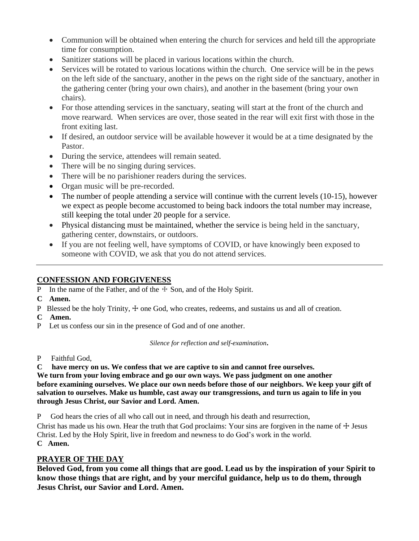- Communion will be obtained when entering the church for services and held till the appropriate time for consumption.
- Sanitizer stations will be placed in various locations within the church.
- Services will be rotated to various locations within the church. One service will be in the pews on the left side of the sanctuary, another in the pews on the right side of the sanctuary, another in the gathering center (bring your own chairs), and another in the basement (bring your own chairs).
- For those attending services in the sanctuary, seating will start at the front of the church and move rearward. When services are over, those seated in the rear will exit first with those in the front exiting last.
- If desired, an outdoor service will be available however it would be at a time designated by the Pastor.
- During the service, attendees will remain seated.
- There will be no singing during services.
- There will be no parishioner readers during the services.
- Organ music will be pre-recorded.
- The number of people attending a service will continue with the current levels (10-15), however we expect as people become accustomed to being back indoors the total number may increase, still keeping the total under 20 people for a service.
- Physical distancing must be maintained, whether the service is being held in the sanctuary, gathering center, downstairs, or outdoors.
- If you are not feeling well, have symptoms of COVID, or have knowingly been exposed to someone with COVID, we ask that you do not attend services.

# **CONFESSION AND FORGIVENESS**

- P In the name of the Father, and of the  $\pm$  Son, and of the Holy Spirit.
- **C Amen.**
- P Blessed be the holy Trinity,  $\pm$  one God, who creates, redeems, and sustains us and all of creation.
- **C Amen.**
- P Let us confess our sin in the presence of God and of one another.

*Silence for reflection and self-examination.*

- P Faithful God,
- **C have mercy on us. We confess that we are captive to sin and cannot free ourselves.**

**We turn from your loving embrace and go our own ways. We pass judgment on one another before examining ourselves. We place our own needs before those of our neighbors. We keep your gift of salvation to ourselves. Make us humble, cast away our transgressions, and turn us again to life in you through Jesus Christ, our Savior and Lord. Amen.**

P God hears the cries of all who call out in need, and through his death and resurrection,

Christ has made us his own. Hear the truth that God proclaims: Your sins are forgiven in the name of  $\pm$  Jesus Christ. Led by the Holy Spirit, live in freedom and newness to do God's work in the world. **C Amen.**

# **PRAYER OF THE DAY**

**Beloved God, from you come all things that are good. Lead us by the inspiration of your Spirit to know those things that are right, and by your merciful guidance, help us to do them, through Jesus Christ, our Savior and Lord. Amen.**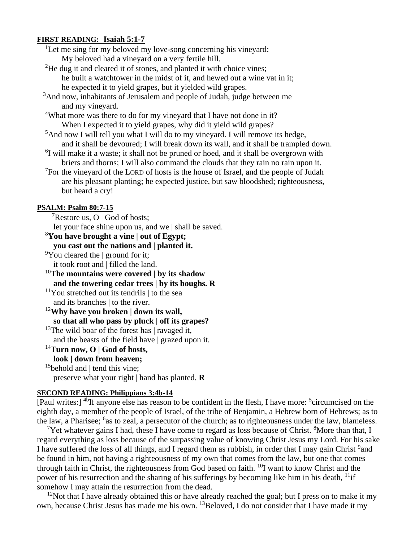#### **FIRST READING: Isaiah 5:1-7**

<sup>1</sup>Let me sing for my beloved my love-song concerning his vineyard: My beloved had a vineyard on a very fertile hill.

- <sup>2</sup>He dug it and cleared it of stones, and planted it with choice vines; he built a watchtower in the midst of it, and hewed out a wine vat in it; he expected it to yield grapes, but it yielded wild grapes.
- <sup>3</sup>And now, inhabitants of Jerusalem and people of Judah, judge between me and my vineyard.
- <sup>4</sup>What more was there to do for my vineyard that I have not done in it? When I expected it to yield grapes, why did it yield wild grapes?
- $5$ And now I will tell you what I will do to my vineyard. I will remove its hedge, and it shall be devoured; I will break down its wall, and it shall be trampled down.
- <sup>6</sup>I will make it a waste; it shall not be pruned or hoed, and it shall be overgrown with briers and thorns; I will also command the clouds that they rain no rain upon it.
- $7$ For the vineyard of the LORD of hosts is the house of Israel, and the people of Judah are his pleasant planting; he expected justice, but saw bloodshed; righteousness, but heard a cry!

#### **PSALM: Psalm 80:7-15**

<sup>7</sup>Restore us, O | God of hosts;

let your face shine upon us, and we | shall be saved.

<sup>8</sup>**You have brought a vine | out of Egypt;**

**you cast out the nations and | planted it.**

 $\rm{^9}Y$ ou cleared the | ground for it;

it took root and | filled the land.

- <sup>10</sup>**The mountains were covered | by its shadow and the towering cedar trees | by its boughs. R**
- $11$ You stretched out its tendrils  $\vert$  to the sea and its branches | to the river.

<sup>12</sup>**Why have you broken | down its wall, so that all who pass by pluck | off its grapes?** <sup>13</sup>The wild boar of the forest has  $\vert$  ravaged it,

and the beasts of the field have | grazed upon it.

#### <sup>14</sup>**Turn now, O | God of hosts,**

**look | down from heaven;**

<sup>15</sup>behold and  $\vert$  tend this vine;

preserve what your right | hand has planted. **R**

#### **SECOND READING: Philippians 3:4b-14**

[Paul writes:] <sup>4b</sup>If anyone else has reason to be confident in the flesh, I have more: <sup>5</sup>circumcised on the eighth day, a member of the people of Israel, of the tribe of Benjamin, a Hebrew born of Hebrews; as to the law, a Pharisee; <sup>6</sup>as to zeal, a persecutor of the church; as to righteousness under the law, blameless.

<sup>7</sup>Yet whatever gains I had, these I have come to regard as loss because of Christ. <sup>8</sup>More than that, I regard everything as loss because of the surpassing value of knowing Christ Jesus my Lord. For his sake I have suffered the loss of all things, and I regard them as rubbish, in order that I may gain Christ <sup>9</sup> and be found in him, not having a righteousness of my own that comes from the law, but one that comes through faith in Christ, the righteousness from God based on faith. <sup>10</sup>I want to know Christ and the power of his resurrection and the sharing of his sufferings by becoming like him in his death, <sup>11</sup>if somehow I may attain the resurrection from the dead.

 $12$ Not that I have already obtained this or have already reached the goal; but I press on to make it my own, because Christ Jesus has made me his own. <sup>13</sup>Beloved, I do not consider that I have made it my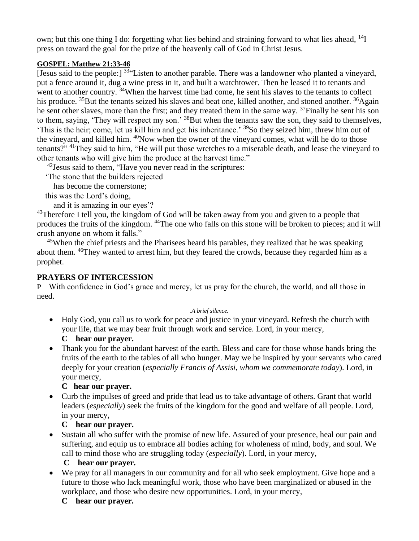own; but this one thing I do: forgetting what lies behind and straining forward to what lies ahead, <sup>14</sup>I press on toward the goal for the prize of the heavenly call of God in Christ Jesus.

#### **GOSPEL: Matthew 21:33-46**

[Jesus said to the people:]  $33\cdot$  Listen to another parable. There was a landowner who planted a vineyard, put a fence around it, dug a wine press in it, and built a watchtower. Then he leased it to tenants and went to another country, <sup>34</sup>When the harvest time had come, he sent his slaves to the tenants to collect his produce. <sup>35</sup>But the tenants seized his slaves and beat one, killed another, and stoned another. <sup>36</sup>Again he sent other slaves, more than the first; and they treated them in the same way. <sup>37</sup>Finally he sent his son to them, saying, 'They will respect my son.' <sup>38</sup>But when the tenants saw the son, they said to themselves, 'This is the heir; come, let us kill him and get his inheritance.' <sup>39</sup>So they seized him, threw him out of the vineyard, and killed him. <sup>40</sup>Now when the owner of the vineyard comes, what will he do to those tenants?" <sup>41</sup>They said to him, "He will put those wretches to a miserable death, and lease the vineyard to other tenants who will give him the produce at the harvest time."

 $42$  Jesus said to them, "Have you never read in the scriptures:

'The stone that the builders rejected

has become the cornerstone;

this was the Lord's doing,

and it is amazing in our eyes'?

<sup>43</sup>Therefore I tell you, the kingdom of God will be taken away from you and given to a people that produces the fruits of the kingdom. <sup>44</sup>The one who falls on this stone will be broken to pieces; and it will crush anyone on whom it falls."

 $45$ When the chief priests and the Pharisees heard his parables, they realized that he was speaking about them. <sup>46</sup>They wanted to arrest him, but they feared the crowds, because they regarded him as a prophet.

# **PRAYERS OF INTERCESSION**

P With confidence in God's grace and mercy, let us pray for the church, the world, and all those in need.

#### .*A brief silence.*

- Holy God, you call us to work for peace and justice in your vineyard. Refresh the church with your life, that we may bear fruit through work and service. Lord, in your mercy,
	- **C hear our prayer.**
- Thank you for the abundant harvest of the earth. Bless and care for those whose hands bring the fruits of the earth to the tables of all who hunger. May we be inspired by your servants who cared deeply for your creation (*especially Francis of Assisi, whom we commemorate today*). Lord, in your mercy,

# **C hear our prayer.**

• Curb the impulses of greed and pride that lead us to take advantage of others. Grant that world leaders (*especially*) seek the fruits of the kingdom for the good and welfare of all people. Lord, in your mercy,

# **C hear our prayer.**

• Sustain all who suffer with the promise of new life. Assured of your presence, heal our pain and suffering, and equip us to embrace all bodies aching for wholeness of mind, body, and soul. We call to mind those who are struggling today (*especially*). Lord, in your mercy,

# **C hear our prayer.**

• We pray for all managers in our community and for all who seek employment. Give hope and a future to those who lack meaningful work, those who have been marginalized or abused in the workplace, and those who desire new opportunities. Lord, in your mercy,

# **C hear our prayer.**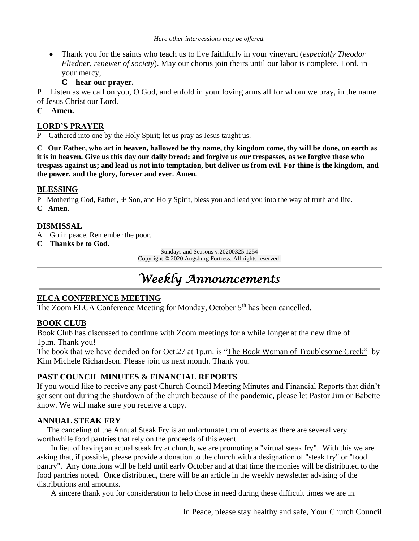• Thank you for the saints who teach us to live faithfully in your vineyard (*especially Theodor Fliedner, renewer of society*). May our chorus join theirs until our labor is complete. Lord, in your mercy,

# **C hear our prayer.**

P Listen as we call on you, O God, and enfold in your loving arms all for whom we pray, in the name of Jesus Christ our Lord.

#### **C Amen.**

#### **LORD'S PRAYER**

Gathered into one by the Holy Spirit; let us pray as Jesus taught us.

**C Our Father, who art in heaven, hallowed be thy name, thy kingdom come, thy will be done, on earth as it is in heaven. Give us this day our daily bread; and forgive us our trespasses, as we forgive those who trespass against us; and lead us not into temptation, but deliver us from evil. For thine is the kingdom, and the power, and the glory, forever and ever. Amen.**

#### **BLESSING**

P Mothering God, Father,  $\pm$  Son, and Holy Spirit, bless you and lead you into the way of truth and life.

**C Amen.**

# **DISMISSAL**

- A Go in peace. Remember the poor.
- **C Thanks be to God.**

Sundays and Seasons v.20200325.1254

Copyright © 2020 Augsburg Fortress. All rights reserved.

# *Weekly Announcements*

# **ELCA CONFERENCE MEETING**

The Zoom ELCA Conference Meeting for Monday, October 5<sup>th</sup> has been cancelled.

# **BOOK CLUB**

Book Club has discussed to continue with Zoom meetings for a while longer at the new time of 1p.m. Thank you!

The book that we have decided on for Oct.27 at 1p.m. is "The Book Woman of Troublesome Creek" by Kim Michele Richardson. Please join us next month. Thank you.

# **PAST COUNCIL MINUTES & FINANCIAL REPORTS**

If you would like to receive any past Church Council Meeting Minutes and Financial Reports that didn't get sent out during the shutdown of the church because of the pandemic, please let Pastor Jim or Babette know. We will make sure you receive a copy.

# **ANNUAL STEAK FRY**

 The canceling of the Annual Steak Fry is an unfortunate turn of events as there are several very worthwhile food pantries that rely on the proceeds of this event.

 In lieu of having an actual steak fry at church, we are promoting a "virtual steak fry". With this we are asking that, if possible, please provide a donation to the church with a designation of "steak fry" or "food pantry". Any donations will be held until early October and at that time the monies will be distributed to the food pantries noted. Once distributed, there will be an article in the weekly newsletter advising of the distributions and amounts.

A sincere thank you for consideration to help those in need during these difficult times we are in.

In Peace, please stay healthy and safe, Your Church Council